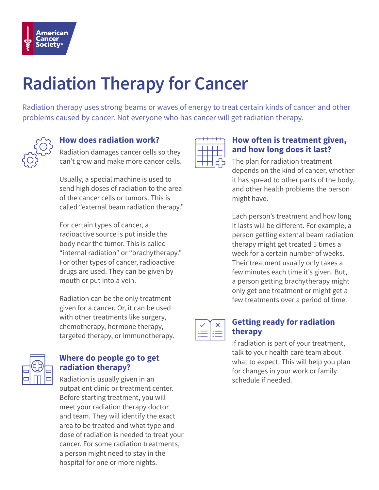

# **Radiation Therapy for Cancer**

Radiation therapy uses strong beams or waves of energy to treat certain kinds of cancer and other problems caused by cancer. Not everyone who has cancer will get radiation therapy.



## **How does radiation work?**

Radiation damages cancer cells so they can't grow and make more cancer cells.

Usually, a special machine is used to send high doses of radiation to the area of the cancer cells or tumors. This is called "external beam radiation therapy."

For certain types of cancer, a radioactive source is put inside the body near the tumor. This is called "internal radiation" or "brachytherapy." For other types of cancer, radioactive drugs are used. They can be given by mouth or put into a vein.

Radiation can be the only treatment given for a cancer. Or, it can be used with other treatments like surgery, chemotherapy, hormone therapy, targeted therapy, or immunotherapy.



## **Where do people go to get radiation therapy?**

Radiation is usually given in an outpatient clinic or treatment center. Before starting treatment, you will meet your radiation therapy doctor and team. They will identify the exact area to be treated and what type and dose of radiation is needed to treat your cancer. For some radiation treatments, a person might need to stay in the hospital for one or more nights.



#### **How often is treatment given, and how long does it last?**

The plan for radiation treatment depends on the kind of cancer, whether it has spread to other parts of the body, and other health problems the person might have.

Each person's treatment and how long it lasts will be different. For example, a person getting external beam radiation therapy might get treated 5 times a week for a certain number of weeks. Their treatment usually only takes a few minutes each time it's given. But, a person getting brachytherapy might only get one treatment or might get a few treatments over a period of time.



## **Getting ready for radiation therapy**

If radiation is part of your treatment, talk to your health care team about what to expect. This will help you plan for changes in your work or family schedule if needed.